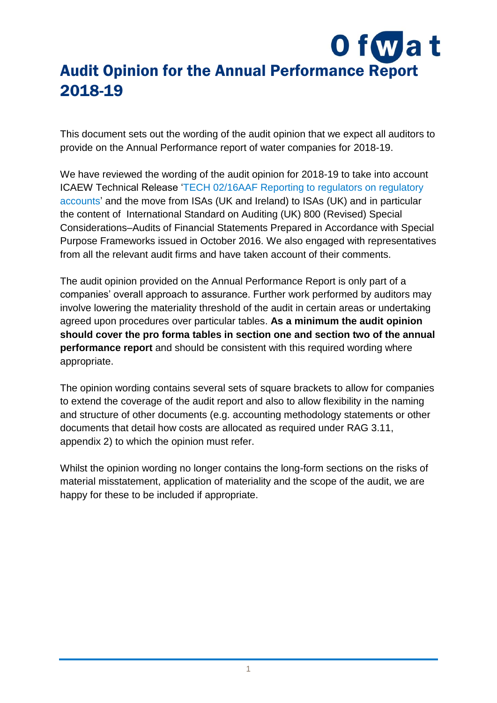# **O** fwat Audit Opinion for the Annual Performance Report 2018-19

This document sets out the wording of the audit opinion that we expect all auditors to provide on the Annual Performance report of water companies for 2018-19.

We have reviewed the wording of the audit opinion for 2018-19 to take into account ICAEW Technical Release ['TECH 02/16AAF Reporting to regulators on regulatory](http://www.icaew.com/-/media/corporate/files/technical/technical-releases/audit/aaf-0216-update-to-0503.ashx)  [accounts'](http://www.icaew.com/-/media/corporate/files/technical/technical-releases/audit/aaf-0216-update-to-0503.ashx) and the move from ISAs (UK and Ireland) to ISAs (UK) and in particular the content of International Standard on Auditing (UK) 800 (Revised) Special Considerations–Audits of Financial Statements Prepared in Accordance with Special Purpose Frameworks issued in October 2016. We also engaged with representatives from all the relevant audit firms and have taken account of their comments.

The audit opinion provided on the Annual Performance Report is only part of a companies' overall approach to assurance. Further work performed by auditors may involve lowering the materiality threshold of the audit in certain areas or undertaking agreed upon procedures over particular tables. **As a minimum the audit opinion should cover the pro forma tables in section one and section two of the annual performance report** and should be consistent with this required wording where appropriate.

The opinion wording contains several sets of square brackets to allow for companies to extend the coverage of the audit report and also to allow flexibility in the naming and structure of other documents (e.g. accounting methodology statements or other documents that detail how costs are allocated as required under RAG 3.11, appendix 2) to which the opinion must refer.

Whilst the opinion wording no longer contains the long-form sections on the risks of material misstatement, application of materiality and the scope of the audit, we are happy for these to be included if appropriate.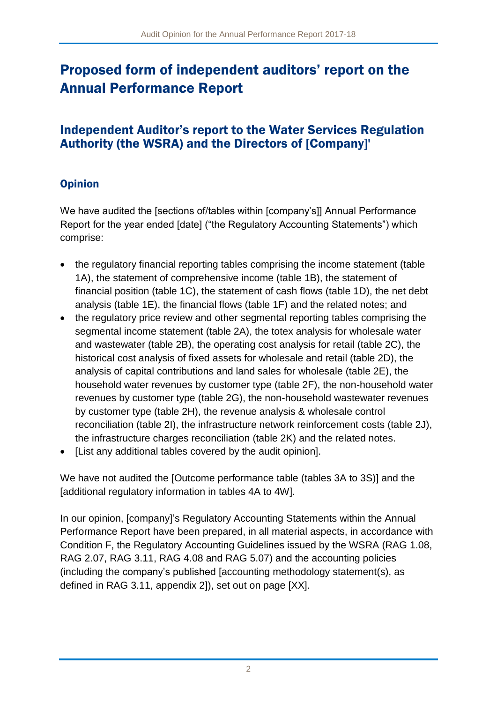## Proposed form of independent auditors' report on the Annual Performance Report

#### Independent Auditor's report to the Water Services Regulation Authority (the WSRA) and the Directors of [Company]'

#### **Opinion**

We have audited the [sections of/tables within [company's]] Annual Performance Report for the year ended [date] ("the Regulatory Accounting Statements") which comprise:

- the regulatory financial reporting tables comprising the income statement (table 1A), the statement of comprehensive income (table 1B), the statement of financial position (table 1C), the statement of cash flows (table 1D), the net debt analysis (table 1E), the financial flows (table 1F) and the related notes; and
- the regulatory price review and other segmental reporting tables comprising the segmental income statement (table 2A), the totex analysis for wholesale water and wastewater (table 2B), the operating cost analysis for retail (table 2C), the historical cost analysis of fixed assets for wholesale and retail (table 2D), the analysis of capital contributions and land sales for wholesale (table 2E), the household water revenues by customer type (table 2F), the non-household water revenues by customer type (table 2G), the non-household wastewater revenues by customer type (table 2H), the revenue analysis & wholesale control reconciliation (table 2I), the infrastructure network reinforcement costs (table 2J), the infrastructure charges reconciliation (table 2K) and the related notes.
- [List any additional tables covered by the audit opinion].

We have not audited the [Outcome performance table (tables 3A to 3S)] and the [additional regulatory information in tables 4A to 4W].

In our opinion, [company]'s Regulatory Accounting Statements within the Annual Performance Report have been prepared, in all material aspects, in accordance with Condition F, the Regulatory Accounting Guidelines issued by the WSRA (RAG 1.08, RAG 2.07, RAG 3.11, RAG 4.08 and RAG 5.07) and the accounting policies (including the company's published [accounting methodology statement(s), as defined in RAG 3.11, appendix 2]), set out on page [XX].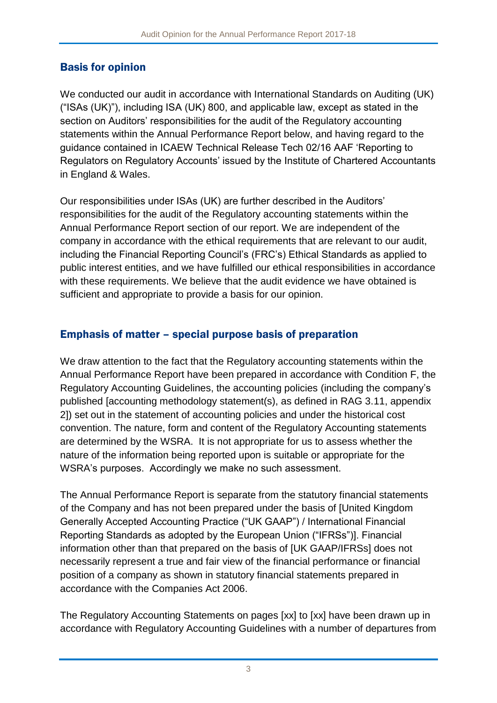#### Basis for opinion

We conducted our audit in accordance with International Standards on Auditing (UK) ("ISAs (UK)"), including ISA (UK) 800, and applicable law, except as stated in the section on Auditors' responsibilities for the audit of the Regulatory accounting statements within the Annual Performance Report below, and having regard to the guidance contained in ICAEW Technical Release Tech 02/16 AAF 'Reporting to Regulators on Regulatory Accounts' issued by the Institute of Chartered Accountants in England & Wales.

Our responsibilities under ISAs (UK) are further described in the Auditors' responsibilities for the audit of the Regulatory accounting statements within the Annual Performance Report section of our report. We are independent of the company in accordance with the ethical requirements that are relevant to our audit, including the Financial Reporting Council's (FRC's) Ethical Standards as applied to public interest entities, and we have fulfilled our ethical responsibilities in accordance with these requirements. We believe that the audit evidence we have obtained is sufficient and appropriate to provide a basis for our opinion.

#### Emphasis of matter – special purpose basis of preparation

We draw attention to the fact that the Regulatory accounting statements within the Annual Performance Report have been prepared in accordance with Condition F, the Regulatory Accounting Guidelines, the accounting policies (including the company's published [accounting methodology statement(s), as defined in RAG 3.11, appendix 2]) set out in the statement of accounting policies and under the historical cost convention. The nature, form and content of the Regulatory Accounting statements are determined by the WSRA. It is not appropriate for us to assess whether the nature of the information being reported upon is suitable or appropriate for the WSRA's purposes. Accordingly we make no such assessment.

The Annual Performance Report is separate from the statutory financial statements of the Company and has not been prepared under the basis of [United Kingdom Generally Accepted Accounting Practice ("UK GAAP") / International Financial Reporting Standards as adopted by the European Union ("IFRSs")]. Financial information other than that prepared on the basis of [UK GAAP/IFRSs] does not necessarily represent a true and fair view of the financial performance or financial position of a company as shown in statutory financial statements prepared in accordance with the Companies Act 2006.

The Regulatory Accounting Statements on pages [xx] to [xx] have been drawn up in accordance with Regulatory Accounting Guidelines with a number of departures from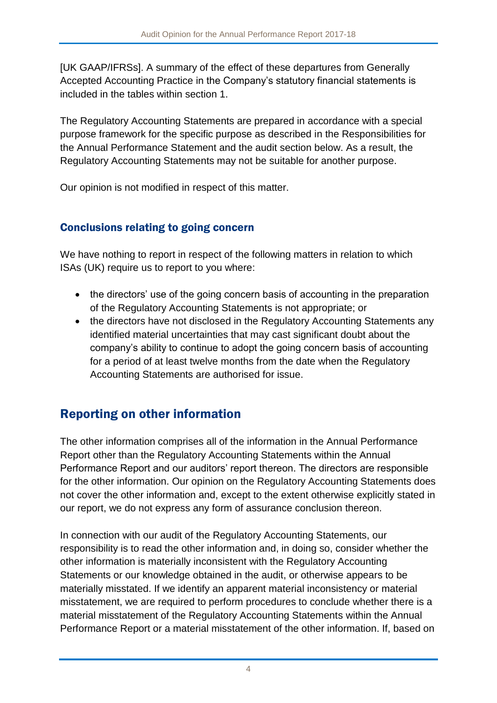[UK GAAP/IFRSs]. A summary of the effect of these departures from Generally Accepted Accounting Practice in the Company's statutory financial statements is included in the tables within section 1.

The Regulatory Accounting Statements are prepared in accordance with a special purpose framework for the specific purpose as described in the Responsibilities for the Annual Performance Statement and the audit section below. As a result, the Regulatory Accounting Statements may not be suitable for another purpose.

Our opinion is not modified in respect of this matter.

#### Conclusions relating to going concern

We have nothing to report in respect of the following matters in relation to which ISAs (UK) require us to report to you where:

- the directors' use of the going concern basis of accounting in the preparation of the Regulatory Accounting Statements is not appropriate; or
- the directors have not disclosed in the Regulatory Accounting Statements any identified material uncertainties that may cast significant doubt about the company's ability to continue to adopt the going concern basis of accounting for a period of at least twelve months from the date when the Regulatory Accounting Statements are authorised for issue.

### Reporting on other information

The other information comprises all of the information in the Annual Performance Report other than the Regulatory Accounting Statements within the Annual Performance Report and our auditors' report thereon. The directors are responsible for the other information. Our opinion on the Regulatory Accounting Statements does not cover the other information and, except to the extent otherwise explicitly stated in our report, we do not express any form of assurance conclusion thereon.

In connection with our audit of the Regulatory Accounting Statements, our responsibility is to read the other information and, in doing so, consider whether the other information is materially inconsistent with the Regulatory Accounting Statements or our knowledge obtained in the audit, or otherwise appears to be materially misstated. If we identify an apparent material inconsistency or material misstatement, we are required to perform procedures to conclude whether there is a material misstatement of the Regulatory Accounting Statements within the Annual Performance Report or a material misstatement of the other information. If, based on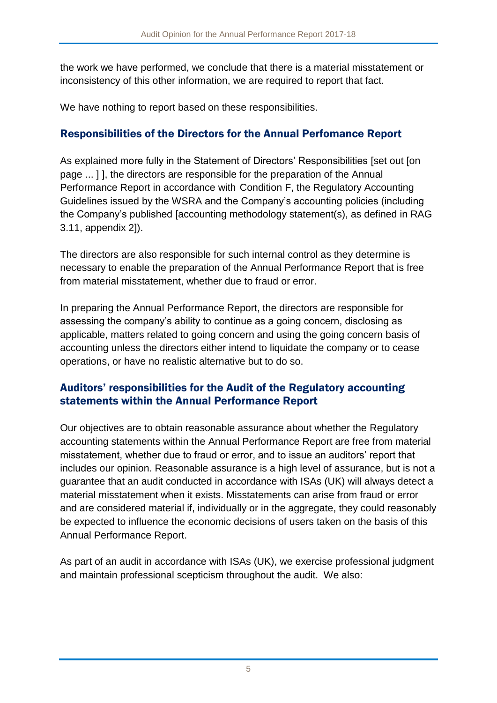the work we have performed, we conclude that there is a material misstatement or inconsistency of this other information, we are required to report that fact.

We have nothing to report based on these responsibilities.

#### Responsibilities of the Directors for the Annual Perfomance Report

As explained more fully in the Statement of Directors' Responsibilities [set out [on page ... ] ], the directors are responsible for the preparation of the Annual Performance Report in accordance with Condition F, the Regulatory Accounting Guidelines issued by the WSRA and the Company's accounting policies (including the Company's published [accounting methodology statement(s), as defined in RAG 3.11, appendix 2]).

The directors are also responsible for such internal control as they determine is necessary to enable the preparation of the Annual Performance Report that is free from material misstatement, whether due to fraud or error.

In preparing the Annual Performance Report, the directors are responsible for assessing the company's ability to continue as a going concern, disclosing as applicable, matters related to going concern and using the going concern basis of accounting unless the directors either intend to liquidate the company or to cease operations, or have no realistic alternative but to do so.

#### Auditors' responsibilities for the Audit of the Regulatory accounting statements within the Annual Performance Report

Our objectives are to obtain reasonable assurance about whether the Regulatory accounting statements within the Annual Performance Report are free from material misstatement, whether due to fraud or error, and to issue an auditors' report that includes our opinion. Reasonable assurance is a high level of assurance, but is not a guarantee that an audit conducted in accordance with ISAs (UK) will always detect a material misstatement when it exists. Misstatements can arise from fraud or error and are considered material if, individually or in the aggregate, they could reasonably be expected to influence the economic decisions of users taken on the basis of this Annual Performance Report.

As part of an audit in accordance with ISAs (UK), we exercise professional judgment and maintain professional scepticism throughout the audit. We also: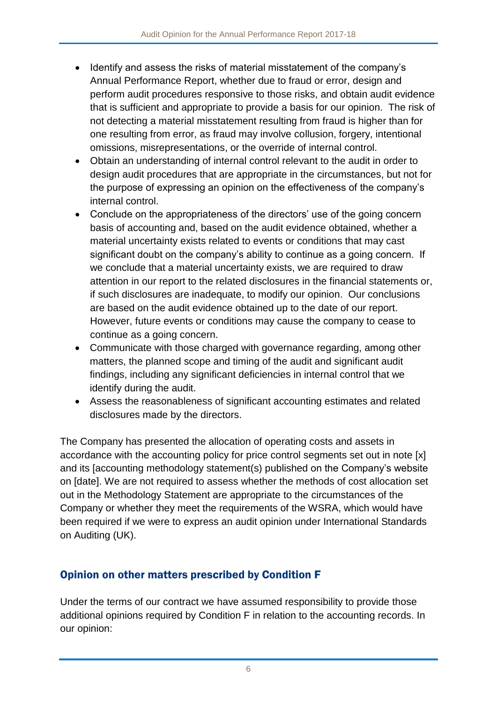- Identify and assess the risks of material misstatement of the company's Annual Performance Report, whether due to fraud or error, design and perform audit procedures responsive to those risks, and obtain audit evidence that is sufficient and appropriate to provide a basis for our opinion. The risk of not detecting a material misstatement resulting from fraud is higher than for one resulting from error, as fraud may involve collusion, forgery, intentional omissions, misrepresentations, or the override of internal control.
- Obtain an understanding of internal control relevant to the audit in order to design audit procedures that are appropriate in the circumstances, but not for the purpose of expressing an opinion on the effectiveness of the company's internal control.
- Conclude on the appropriateness of the directors' use of the going concern basis of accounting and, based on the audit evidence obtained, whether a material uncertainty exists related to events or conditions that may cast significant doubt on the company's ability to continue as a going concern. If we conclude that a material uncertainty exists, we are required to draw attention in our report to the related disclosures in the financial statements or, if such disclosures are inadequate, to modify our opinion. Our conclusions are based on the audit evidence obtained up to the date of our report. However, future events or conditions may cause the company to cease to continue as a going concern.
- Communicate with those charged with governance regarding, among other matters, the planned scope and timing of the audit and significant audit findings, including any significant deficiencies in internal control that we identify during the audit.
- Assess the reasonableness of significant accounting estimates and related disclosures made by the directors.

The Company has presented the allocation of operating costs and assets in accordance with the accounting policy for price control segments set out in note [x] and its [accounting methodology statement(s) published on the Company's website on [date]. We are not required to assess whether the methods of cost allocation set out in the Methodology Statement are appropriate to the circumstances of the Company or whether they meet the requirements of the WSRA, which would have been required if we were to express an audit opinion under International Standards on Auditing (UK).

#### Opinion on other matters prescribed by Condition F

Under the terms of our contract we have assumed responsibility to provide those additional opinions required by Condition F in relation to the accounting records. In our opinion: